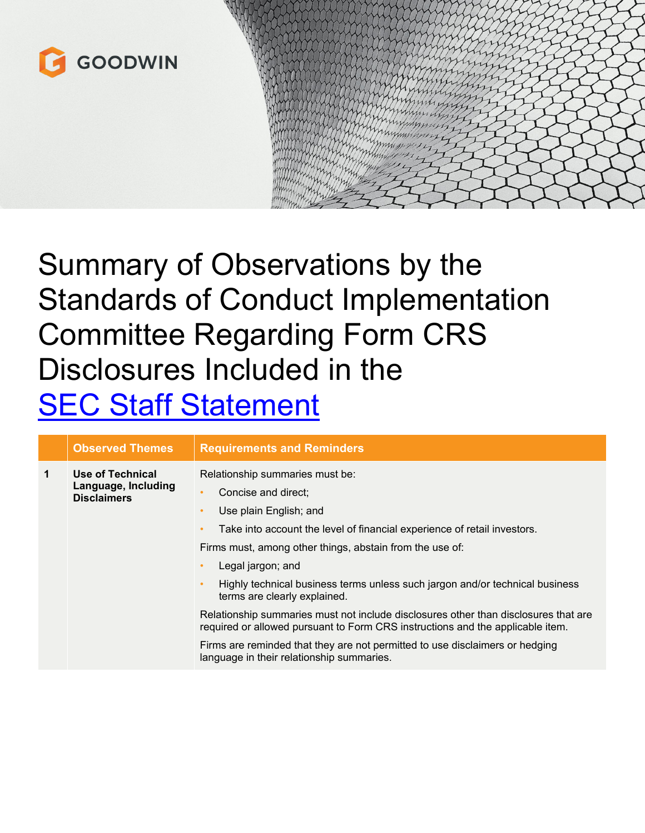

## Summary of Observations by the Standards of Conduct Implementation Committee Regarding Form CRS Disclosures Included in the **SEC Staff [Statement](https://www.sec.gov/news/statement/staff-statement-form-crs-disclosures-121721?utm_medium=email&utm_source=govdelivery)**

|             | <b>Observed Themes</b>                                        | <b>Requirements and Reminders</b>                                                                                                                                                                                                                                                                                                                                                                                                                                                                                                                                                               |
|-------------|---------------------------------------------------------------|-------------------------------------------------------------------------------------------------------------------------------------------------------------------------------------------------------------------------------------------------------------------------------------------------------------------------------------------------------------------------------------------------------------------------------------------------------------------------------------------------------------------------------------------------------------------------------------------------|
| $\mathbf 1$ | Use of Technical<br>Language, Including<br><b>Disclaimers</b> | Relationship summaries must be:<br>Concise and direct:<br>٠<br>Use plain English; and<br>$\bullet$<br>Take into account the level of financial experience of retail investors.<br>$\bullet$<br>Firms must, among other things, abstain from the use of:<br>Legal jargon; and<br>$\bullet$<br>Highly technical business terms unless such jargon and/or technical business<br>$\bullet$<br>terms are clearly explained.<br>Relationship summaries must not include disclosures other than disclosures that are<br>required or allowed pursuant to Form CRS instructions and the applicable item. |
|             |                                                               | Firms are reminded that they are not permitted to use disclaimers or hedging<br>language in their relationship summaries.                                                                                                                                                                                                                                                                                                                                                                                                                                                                       |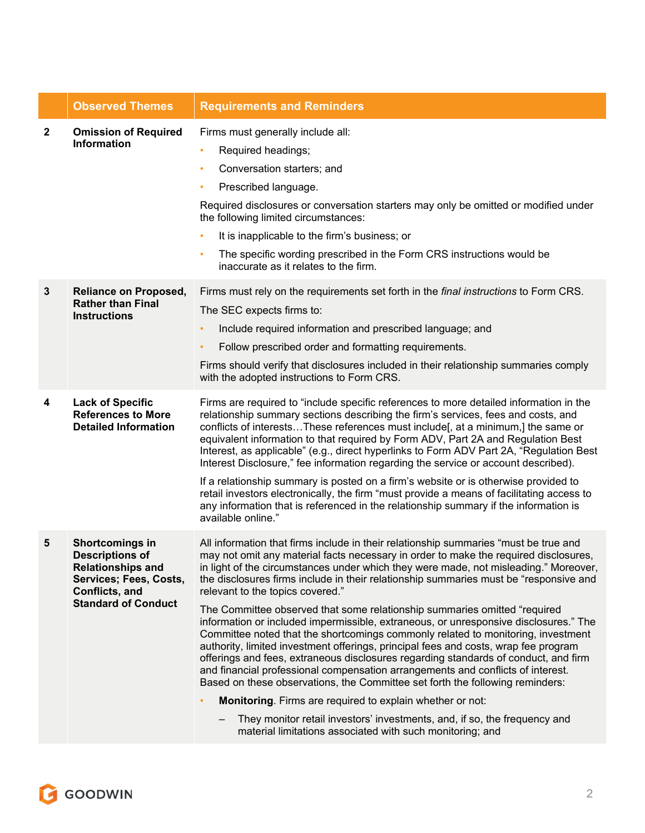|              | <b>Observed Themes</b>                                                                                                                          | <b>Requirements and Reminders</b>                                                                                                                                                                                                                                                                                                                                                                                                                                                                                                                                                                                                                                                                                                                                                                                                                                                                                                                                                                                                                                                                                                                                                                                   |
|--------------|-------------------------------------------------------------------------------------------------------------------------------------------------|---------------------------------------------------------------------------------------------------------------------------------------------------------------------------------------------------------------------------------------------------------------------------------------------------------------------------------------------------------------------------------------------------------------------------------------------------------------------------------------------------------------------------------------------------------------------------------------------------------------------------------------------------------------------------------------------------------------------------------------------------------------------------------------------------------------------------------------------------------------------------------------------------------------------------------------------------------------------------------------------------------------------------------------------------------------------------------------------------------------------------------------------------------------------------------------------------------------------|
| $\mathbf{2}$ | <b>Omission of Required</b><br><b>Information</b>                                                                                               | Firms must generally include all:<br>Required headings;<br>$\bullet$<br>Conversation starters; and<br>۰<br>Prescribed language.<br>٠<br>Required disclosures or conversation starters may only be omitted or modified under<br>the following limited circumstances:<br>It is inapplicable to the firm's business; or<br>$\bullet$<br>The specific wording prescribed in the Form CRS instructions would be<br>$\bullet$<br>inaccurate as it relates to the firm.                                                                                                                                                                                                                                                                                                                                                                                                                                                                                                                                                                                                                                                                                                                                                    |
| 3            | <b>Reliance on Proposed,</b><br><b>Rather than Final</b><br><b>Instructions</b>                                                                 | Firms must rely on the requirements set forth in the <i>final instructions</i> to Form CRS.<br>The SEC expects firms to:<br>Include required information and prescribed language; and<br>$\bullet$<br>Follow prescribed order and formatting requirements.<br>Firms should verify that disclosures included in their relationship summaries comply<br>with the adopted instructions to Form CRS.                                                                                                                                                                                                                                                                                                                                                                                                                                                                                                                                                                                                                                                                                                                                                                                                                    |
| 4            | <b>Lack of Specific</b><br><b>References to More</b><br><b>Detailed Information</b>                                                             | Firms are required to "include specific references to more detailed information in the<br>relationship summary sections describing the firm's services, fees and costs, and<br>conflicts of interestsThese references must include[, at a minimum,] the same or<br>equivalent information to that required by Form ADV, Part 2A and Regulation Best<br>Interest, as applicable" (e.g., direct hyperlinks to Form ADV Part 2A, "Regulation Best<br>Interest Disclosure," fee information regarding the service or account described).<br>If a relationship summary is posted on a firm's website or is otherwise provided to<br>retail investors electronically, the firm "must provide a means of facilitating access to<br>any information that is referenced in the relationship summary if the information is<br>available online."                                                                                                                                                                                                                                                                                                                                                                              |
| 5            | Shortcomings in<br><b>Descriptions of</b><br><b>Relationships and</b><br>Services; Fees, Costs,<br>Conflicts, and<br><b>Standard of Conduct</b> | All information that firms include in their relationship summaries "must be true and<br>may not omit any material facts necessary in order to make the required disclosures,<br>in light of the circumstances under which they were made, not misleading." Moreover,<br>the disclosures firms include in their relationship summaries must be "responsive and<br>relevant to the topics covered."<br>The Committee observed that some relationship summaries omitted "required<br>information or included impermissible, extraneous, or unresponsive disclosures." The<br>Committee noted that the shortcomings commonly related to monitoring, investment<br>authority, limited investment offerings, principal fees and costs, wrap fee program<br>offerings and fees, extraneous disclosures regarding standards of conduct, and firm<br>and financial professional compensation arrangements and conflicts of interest.<br>Based on these observations, the Committee set forth the following reminders:<br>Monitoring. Firms are required to explain whether or not:<br>They monitor retail investors' investments, and, if so, the frequency and<br>material limitations associated with such monitoring; and |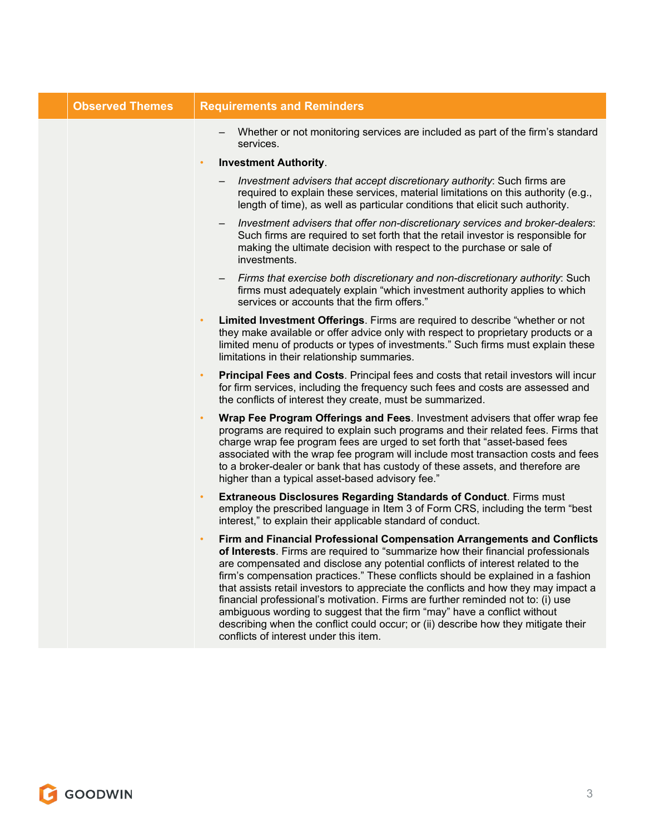| <b>Observed Themes</b> | <b>Requirements and Reminders</b>                                                                                                                                                                                                                                                                                                                                                                                                                                                                                                                                                                                                                                                                                                     |
|------------------------|---------------------------------------------------------------------------------------------------------------------------------------------------------------------------------------------------------------------------------------------------------------------------------------------------------------------------------------------------------------------------------------------------------------------------------------------------------------------------------------------------------------------------------------------------------------------------------------------------------------------------------------------------------------------------------------------------------------------------------------|
|                        | Whether or not monitoring services are included as part of the firm's standard<br>services.                                                                                                                                                                                                                                                                                                                                                                                                                                                                                                                                                                                                                                           |
|                        | <b>Investment Authority.</b><br>$\bullet$                                                                                                                                                                                                                                                                                                                                                                                                                                                                                                                                                                                                                                                                                             |
|                        | Investment advisers that accept discretionary authority: Such firms are<br>required to explain these services, material limitations on this authority (e.g.,<br>length of time), as well as particular conditions that elicit such authority.                                                                                                                                                                                                                                                                                                                                                                                                                                                                                         |
|                        | Investment advisers that offer non-discretionary services and broker-dealers:<br>Such firms are required to set forth that the retail investor is responsible for<br>making the ultimate decision with respect to the purchase or sale of<br>investments.                                                                                                                                                                                                                                                                                                                                                                                                                                                                             |
|                        | Firms that exercise both discretionary and non-discretionary authority: Such<br>firms must adequately explain "which investment authority applies to which<br>services or accounts that the firm offers."                                                                                                                                                                                                                                                                                                                                                                                                                                                                                                                             |
|                        | Limited Investment Offerings. Firms are required to describe "whether or not<br>٠<br>they make available or offer advice only with respect to proprietary products or a<br>limited menu of products or types of investments." Such firms must explain these<br>limitations in their relationship summaries.                                                                                                                                                                                                                                                                                                                                                                                                                           |
|                        | Principal Fees and Costs. Principal fees and costs that retail investors will incur<br>$\bullet$<br>for firm services, including the frequency such fees and costs are assessed and<br>the conflicts of interest they create, must be summarized.                                                                                                                                                                                                                                                                                                                                                                                                                                                                                     |
|                        | Wrap Fee Program Offerings and Fees. Investment advisers that offer wrap fee<br>programs are required to explain such programs and their related fees. Firms that<br>charge wrap fee program fees are urged to set forth that "asset-based fees<br>associated with the wrap fee program will include most transaction costs and fees<br>to a broker-dealer or bank that has custody of these assets, and therefore are<br>higher than a typical asset-based advisory fee."                                                                                                                                                                                                                                                            |
|                        | <b>Extraneous Disclosures Regarding Standards of Conduct. Firms must</b><br>$\bullet$<br>employ the prescribed language in Item 3 of Form CRS, including the term "best<br>interest," to explain their applicable standard of conduct.                                                                                                                                                                                                                                                                                                                                                                                                                                                                                                |
|                        | Firm and Financial Professional Compensation Arrangements and Conflicts<br>$\bullet$<br>of Interests. Firms are required to "summarize how their financial professionals<br>are compensated and disclose any potential conflicts of interest related to the<br>firm's compensation practices." These conflicts should be explained in a fashion<br>that assists retail investors to appreciate the conflicts and how they may impact a<br>financial professional's motivation. Firms are further reminded not to: (i) use<br>ambiguous wording to suggest that the firm "may" have a conflict without<br>describing when the conflict could occur; or (ii) describe how they mitigate their<br>conflicts of interest under this item. |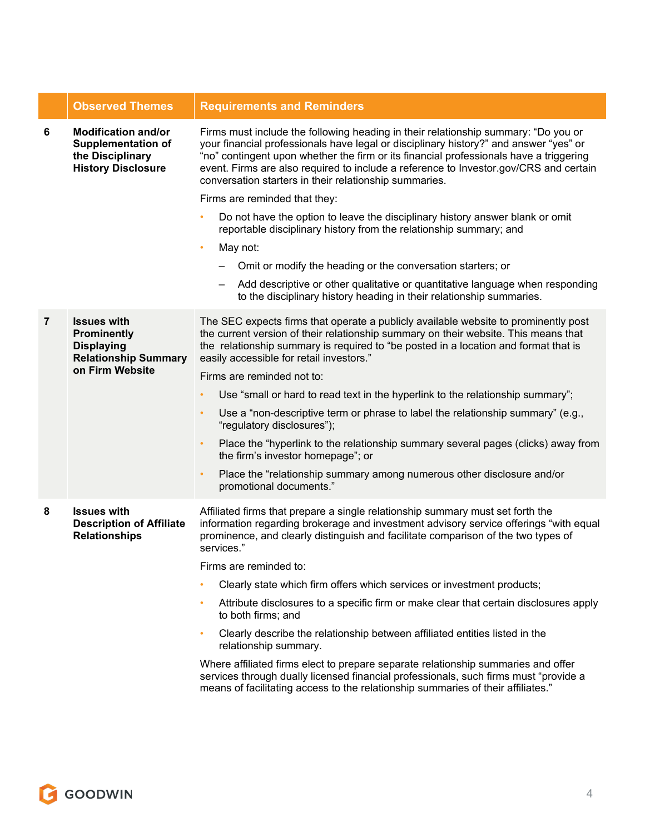|                | <b>Observed Themes</b>                                                                                          | <b>Requirements and Reminders</b>                                                                                                                                                                                                                                                                                                                                                                                        |
|----------------|-----------------------------------------------------------------------------------------------------------------|--------------------------------------------------------------------------------------------------------------------------------------------------------------------------------------------------------------------------------------------------------------------------------------------------------------------------------------------------------------------------------------------------------------------------|
| 6              | <b>Modification and/or</b><br><b>Supplementation of</b><br>the Disciplinary<br><b>History Disclosure</b>        | Firms must include the following heading in their relationship summary: "Do you or<br>your financial professionals have legal or disciplinary history?" and answer "yes" or<br>"no" contingent upon whether the firm or its financial professionals have a triggering<br>event. Firms are also required to include a reference to Investor.gov/CRS and certain<br>conversation starters in their relationship summaries. |
|                |                                                                                                                 | Firms are reminded that they:                                                                                                                                                                                                                                                                                                                                                                                            |
|                |                                                                                                                 | Do not have the option to leave the disciplinary history answer blank or omit<br>reportable disciplinary history from the relationship summary; and                                                                                                                                                                                                                                                                      |
|                |                                                                                                                 | May not:<br>$\bullet$                                                                                                                                                                                                                                                                                                                                                                                                    |
|                |                                                                                                                 | Omit or modify the heading or the conversation starters; or                                                                                                                                                                                                                                                                                                                                                              |
|                |                                                                                                                 | Add descriptive or other qualitative or quantitative language when responding<br>$\qquad \qquad \blacksquare$<br>to the disciplinary history heading in their relationship summaries.                                                                                                                                                                                                                                    |
| $\overline{7}$ | <b>Issues with</b><br><b>Prominently</b><br><b>Displaying</b><br><b>Relationship Summary</b><br>on Firm Website | The SEC expects firms that operate a publicly available website to prominently post<br>the current version of their relationship summary on their website. This means that<br>the relationship summary is required to "be posted in a location and format that is<br>easily accessible for retail investors."                                                                                                            |
|                |                                                                                                                 | Firms are reminded not to:                                                                                                                                                                                                                                                                                                                                                                                               |
|                |                                                                                                                 | Use "small or hard to read text in the hyperlink to the relationship summary";<br>$\bullet$                                                                                                                                                                                                                                                                                                                              |
|                |                                                                                                                 | Use a "non-descriptive term or phrase to label the relationship summary" (e.g.,<br>$\bullet$<br>"regulatory disclosures");                                                                                                                                                                                                                                                                                               |
|                |                                                                                                                 | Place the "hyperlink to the relationship summary several pages (clicks) away from<br>$\bullet$<br>the firm's investor homepage"; or                                                                                                                                                                                                                                                                                      |
|                |                                                                                                                 | Place the "relationship summary among numerous other disclosure and/or<br>$\bullet$<br>promotional documents."                                                                                                                                                                                                                                                                                                           |
| 8              | <b>Issues with</b><br><b>Description of Affiliate</b><br><b>Relationships</b>                                   | Affiliated firms that prepare a single relationship summary must set forth the<br>information regarding brokerage and investment advisory service offerings "with equal<br>prominence, and clearly distinguish and facilitate comparison of the two types of<br>services."                                                                                                                                               |
|                |                                                                                                                 | Firms are reminded to:                                                                                                                                                                                                                                                                                                                                                                                                   |
|                |                                                                                                                 | Clearly state which firm offers which services or investment products;                                                                                                                                                                                                                                                                                                                                                   |
|                |                                                                                                                 | Attribute disclosures to a specific firm or make clear that certain disclosures apply<br>$\bullet$<br>to both firms; and                                                                                                                                                                                                                                                                                                 |
|                |                                                                                                                 | Clearly describe the relationship between affiliated entities listed in the<br>$\bullet$<br>relationship summary.                                                                                                                                                                                                                                                                                                        |
|                |                                                                                                                 | Where affiliated firms elect to prepare separate relationship summaries and offer<br>services through dually licensed financial professionals, such firms must "provide a<br>means of facilitating access to the relationship summaries of their affiliates."                                                                                                                                                            |